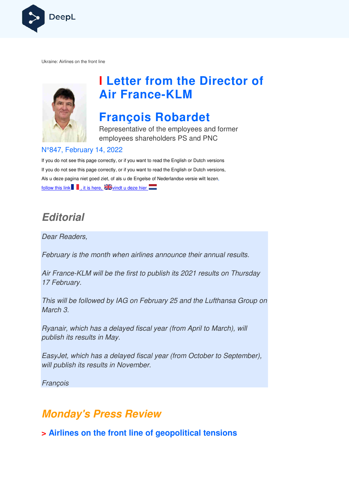

Ukraine: Airlines on the front line



# **I Letter from the Director of Air France France-KLM**

# **François Robardet**

Representative of the employees and former employees shareholders PS and PNC

#### N°847, February 14, 2022

If you do not see this page correctly, or if you want to read the English or Dutch versions If you do not see this page correctly, or if you want to read the English or Dutch versions, If you do not see this page correctly, or if you want to read the English or Dutch versior<br>Als u deze pagina niet goed ziet, of als u de Engelse of Nederlandse versie wilt lezen, follow this link  $\blacksquare$ , it is here,  $\blacksquare$  vindt u deze hier

## **Editorial**

Dear Readers,

February is the month when airlines announce their annual results.

Air France-KLM will be the first to publish its 2021 results on Thursday 17 February.

This will be followed by IAG on February 25 and the Lufthansa Group on March 3. ance-KLM<br>bruary.<br>vill be follov<br>3.<br>ir, which h<br>h its result.<br>et, which h<br>blish its re

Ryanair, which has a delayed fiscal year (from April to March), will publish its results in May.

EasyJet, which has a delayed fiscal year (from October to September), will publish its results in November.

François

## **Monday's Press Review**

**> Airlines on the front line of geopolitical tensions**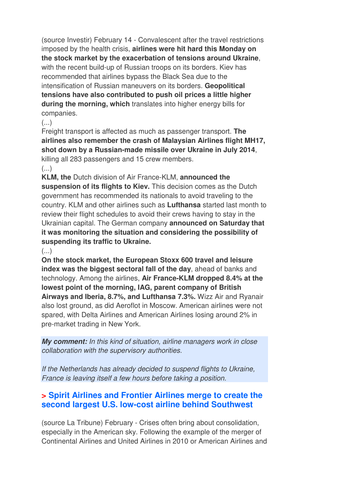(source Investir) February 14 - Convalescent after the travel restrictions imposed by the health crisis, **airlines were hit hard this Monday on the stock market by the exacerbation of tensions around Ukraine**, with the recent build-up of Russian troops on its borders. Kiev has recommended that airlines bypass the Black Sea due to the intensification of Russian maneuvers on its borders. **Geopolitical tensions have also contributed to push oil prices a little higher during the morning, which** translates into higher energy bills for companies.

#### $\left(\ldots\right)$

Freight transport is affected as much as passenger transport. **The airlines also remember the crash of Malaysian Airlines flight MH17, shot down by a Russian-made missile over Ukraine in July 2014**, killing all 283 passengers and 15 crew members.

#### $\left(\ldots\right)$

**KLM, the** Dutch division of Air France-KLM, **announced the suspension of its flights to Kiev.** This decision comes as the Dutch government has recommended its nationals to avoid traveling to the country. KLM and other airlines such as **Lufthansa** started last month to review their flight schedules to avoid their crews having to stay in the Ukrainian capital. The German company **announced on Saturday that it was monitoring the situation and considering the possibility of suspending its traffic to Ukraine.** 

#### $\left( \ldots \right)$

**On the stock market, the European Stoxx 600 travel and leisure index was the biggest sectoral fall of the day**, ahead of banks and technology. Among the airlines, **Air France-KLM dropped 8.4% at the lowest point of the morning, IAG, parent company of British Airways and Iberia, 8.7%, and Lufthansa 7.3%.** Wizz Air and Ryanair also lost ground, as did Aeroflot in Moscow. American airlines were not spared, with Delta Airlines and American Airlines losing around 2% in pre-market trading in New York.

**My comment:** In this kind of situation, airline managers work in close collaboration with the supervisory authorities.

If the Netherlands has already decided to suspend flights to Ukraine, France is leaving itself a few hours before taking a position.

### **> Spirit Airlines and Frontier Airlines merge to create the second largest U.S. low-cost airline behind Southwest**

(source La Tribune) February - Crises often bring about consolidation, especially in the American sky. Following the example of the merger of Continental Airlines and United Airlines in 2010 or American Airlines and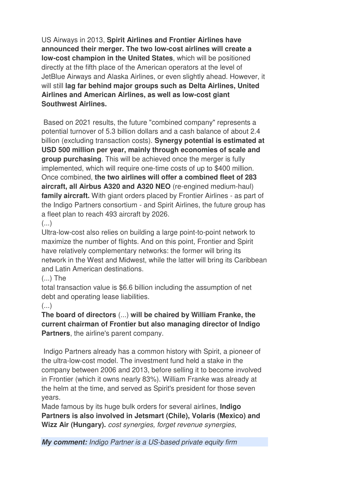US Airways in 2013, **Spirit Airlines and Frontier Airlines have announced their merger. The two low-cost airlines will create a low-cost champion in the United States**, which will be positioned directly at the fifth place of the American operators at the level of JetBlue Airways and Alaska Airlines, or even slightly ahead. However, it will still **lag far behind major groups such as Delta Airlines, United Airlines and American Airlines, as well as low-cost giant Southwest Airlines.** 

 Based on 2021 results, the future "combined company" represents a potential turnover of 5.3 billion dollars and a cash balance of about 2.4 billion (excluding transaction costs). **Synergy potential is estimated at USD 500 million per year, mainly through economies of scale and group purchasing**. This will be achieved once the merger is fully implemented, which will require one-time costs of up to \$400 million. Once combined, **the two airlines will offer a combined fleet of 283 aircraft, all Airbus A320 and A320 NEO** (re-engined medium-haul) **family aircraft.** With giant orders placed by Frontier Airlines - as part of the Indigo Partners consortium - and Spirit Airlines, the future group has a fleet plan to reach 493 aircraft by 2026.

(...)

Ultra-low-cost also relies on building a large point-to-point network to maximize the number of flights. And on this point, Frontier and Spirit have relatively complementary networks: the former will bring its network in the West and Midwest, while the latter will bring its Caribbean and Latin American destinations.

#### (...) The

total transaction value is \$6.6 billion including the assumption of net debt and operating lease liabilities.

#### (...)

**The board of directors** (...) **will be chaired by William Franke, the current chairman of Frontier but also managing director of Indigo Partners**, the airline's parent company.

 Indigo Partners already has a common history with Spirit, a pioneer of the ultra-low-cost model. The investment fund held a stake in the company between 2006 and 2013, before selling it to become involved in Frontier (which it owns nearly 83%). William Franke was already at the helm at the time, and served as Spirit's president for those seven years.

Made famous by its huge bulk orders for several airlines, **Indigo Partners is also involved in Jetsmart (Chile), Volaris (Mexico) and Wizz Air (Hungary).** cost synergies, forget revenue synergies,

**My comment:** Indigo Partner is a US-based private equity firm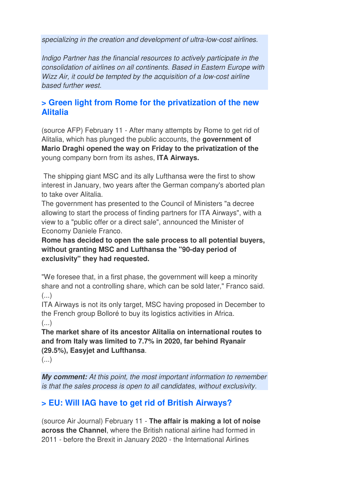specializing in the creation and development of ultra-low-cost airlines.

Indigo Partner has the financial resources to actively participate in the consolidation of airlines on all continents. Based in Eastern Europe with Wizz Air, it could be tempted by the acquisition of a low-cost airline based further west.

### **> Green light from Rome for the privatization of the new Alitalia**

(source AFP) February 11 - After many attempts by Rome to get rid of Alitalia, which has plunged the public accounts, the **government of Mario Draghi opened the way on Friday to the privatization of the**  young company born from its ashes, **ITA Airways.** 

 The shipping giant MSC and its ally Lufthansa were the first to show interest in January, two years after the German company's aborted plan to take over Alitalia.

The government has presented to the Council of Ministers "a decree allowing to start the process of finding partners for ITA Airways", with a view to a "public offer or a direct sale", announced the Minister of Economy Daniele Franco.

**Rome has decided to open the sale process to all potential buyers, without granting MSC and Lufthansa the "90-day period of exclusivity" they had requested.** 

"We foresee that, in a first phase, the government will keep a minority share and not a controlling share, which can be sold later," Franco said.  $\left( \ldots \right)$ 

ITA Airways is not its only target, MSC having proposed in December to the French group Bolloré to buy its logistics activities in Africa.

(...)

**The market share of its ancestor Alitalia on international routes to and from Italy was limited to 7.7% in 2020, far behind Ryanair (29.5%), Easyjet and Lufthansa**.

(...)

**My comment:** At this point, the most important information to remember is that the sales process is open to all candidates, without exclusivity.

## **> EU: Will IAG have to get rid of British Airways?**

(source Air Journal) February 11 - **The affair is making a lot of noise across the Channel**, where the British national airline had formed in 2011 - before the Brexit in January 2020 - the International Airlines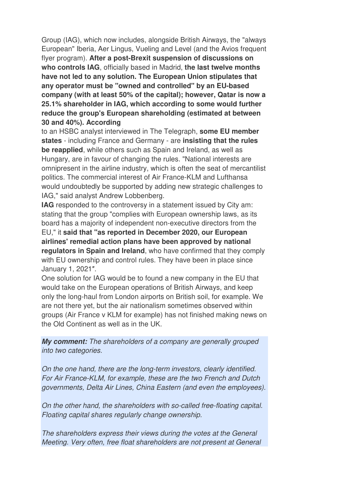Group (IAG), which now includes, alongside British Airways, the "always European" Iberia, Aer Lingus, Vueling and Level (and the Avios frequent flyer program). **After a post-Brexit suspension of discussions on who controls IAG**, officially based in Madrid, **the last twelve months have not led to any solution. The European Union stipulates that any operator must be "owned and controlled" by an EU-based company (with at least 50% of the capital); however, Qatar is now a 25.1% shareholder in IAG, which according to some would further reduce the group's European shareholding (estimated at between 30 and 40%). According** 

to an HSBC analyst interviewed in The Telegraph, **some EU member states** - including France and Germany - are **insisting that the rules be reapplied**, while others such as Spain and Ireland, as well as Hungary, are in favour of changing the rules. "National interests are omnipresent in the airline industry, which is often the seat of mercantilist politics. The commercial interest of Air France-KLM and Lufthansa would undoubtedly be supported by adding new strategic challenges to IAG," said analyst Andrew Lobbenberg.

**IAG** responded to the controversy in a statement issued by City am: stating that the group "complies with European ownership laws, as its board has a majority of independent non-executive directors from the EU," it **said that "as reported in December 2020, our European airlines' remedial action plans have been approved by national regulators in Spain and Ireland**, who have confirmed that they comply with EU ownership and control rules. They have been in place since January 1, 2021″.

One solution for IAG would be to found a new company in the EU that would take on the European operations of British Airways, and keep only the long-haul from London airports on British soil, for example. We are not there yet, but the air nationalism sometimes observed within groups (Air France v KLM for example) has not finished making news on the Old Continent as well as in the UK.

**My comment:** The shareholders of a company are generally grouped into two categories.

On the one hand, there are the long-term investors, clearly identified. For Air France-KLM, for example, these are the two French and Dutch governments, Delta Air Lines, China Eastern (and even the employees).

On the other hand, the shareholders with so-called free-floating capital. Floating capital shares regularly change ownership.

The shareholders express their views during the votes at the General Meeting. Very often, free float shareholders are not present at General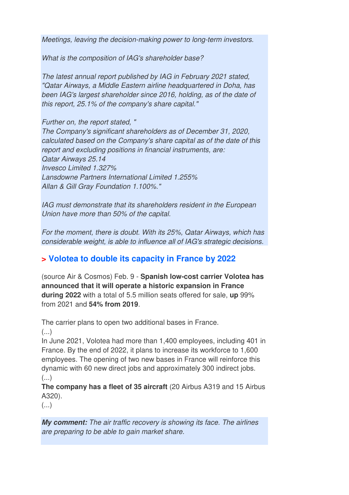Meetings, leaving the decision-making power to long-term investors.

What is the composition of IAG's shareholder base?

The latest annual report published by IAG in February 2021 stated, "Qatar Airways, a Middle Eastern airline headquartered in Doha, has been IAG's largest shareholder since 2016, holding, as of the date of this report, 25.1% of the company's share capital."

Further on, the report stated, "

The Company's significant shareholders as of December 31, 2020, calculated based on the Company's share capital as of the date of this report and excluding positions in financial instruments, are: Qatar Airways 25.14 Invesco Limited 1.327% Lansdowne Partners International Limited 1.255% Allan & Gill Gray Foundation 1.100%."

IAG must demonstrate that its shareholders resident in the European Union have more than 50% of the capital.

For the moment, there is doubt. With its 25%, Qatar Airways, which has considerable weight, is able to influence all of IAG's strategic decisions.

#### **> Volotea to double its capacity in France by 2022**

(source Air & Cosmos) Feb. 9 - **Spanish low-cost carrier Volotea has announced that it will operate a historic expansion in France during 2022** with a total of 5.5 million seats offered for sale, **up** 99% from 2021 and **54% from 2019**.

The carrier plans to open two additional bases in France.

(...)

In June 2021, Volotea had more than 1,400 employees, including 401 in France. By the end of 2022, it plans to increase its workforce to 1,600 employees. The opening of two new bases in France will reinforce this dynamic with 60 new direct jobs and approximately 300 indirect jobs.  $(\ldots)$ 

**The company has a fleet of 35 aircraft** (20 Airbus A319 and 15 Airbus A320).

 $\left( \ldots \right)$ 

**My comment:** The air traffic recovery is showing its face. The airlines are preparing to be able to gain market share.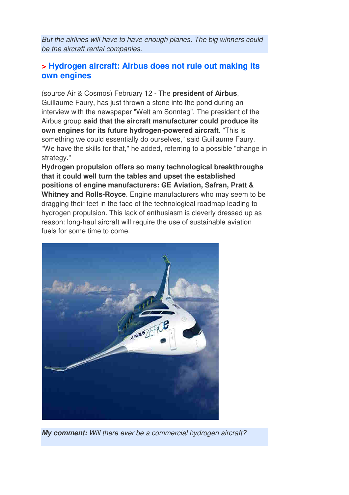But the airlines will have to have enough planes. The big winners could be the aircraft rental companies.

#### **> Hydrogen aircraft: Airbus does not rule out making its own engines**

(source Air & Cosmos) February 12 - The **president of Airbus**, Guillaume Faury, has just thrown a stone into the pond during an interview with the newspaper "Welt am Sonntag". The president of the Airbus group **said that the aircraft manufacturer could produce its own engines for its future hydrogen-powered aircraft**. "This is something we could essentially do ourselves," said Guillaume Faury. "We have the skills for that," he added, referring to a possible "change in strategy."

**Hydrogen propulsion offers so many technological breakthroughs that it could well turn the tables and upset the established positions of engine manufacturers: GE Aviation, Safran, Pratt & Whitney and Rolls-Royce**. Engine manufacturers who may seem to be dragging their feet in the face of the technological roadmap leading to hydrogen propulsion. This lack of enthusiasm is cleverly dressed up as reason: long-haul aircraft will require the use of sustainable aviation fuels for some time to come.



**My comment:** Will there ever be a commercial hydrogen aircraft?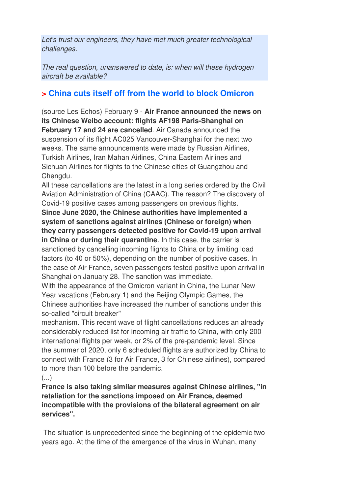Let's trust our engineers, they have met much greater technological challenges.

The real question, unanswered to date, is: when will these hydrogen aircraft be available?

### **> China cuts itself off from the world to block Omicron**

(source Les Echos) February 9 - **Air France announced the news on its Chinese Weibo account: flights AF198 Paris-Shanghai on February 17 and 24 are cancelled**. Air Canada announced the suspension of its flight AC025 Vancouver-Shanghai for the next two weeks. The same announcements were made by Russian Airlines, Turkish Airlines, Iran Mahan Airlines, China Eastern Airlines and Sichuan Airlines for flights to the Chinese cities of Guangzhou and Chengdu.

All these cancellations are the latest in a long series ordered by the Civil Aviation Administration of China (CAAC). The reason? The discovery of Covid-19 positive cases among passengers on previous flights.

**Since June 2020, the Chinese authorities have implemented a system of sanctions against airlines (Chinese or foreign) when they carry passengers detected positive for Covid-19 upon arrival** 

**in China or during their quarantine**. In this case, the carrier is sanctioned by cancelling incoming flights to China or by limiting load factors (to 40 or 50%), depending on the number of positive cases. In the case of Air France, seven passengers tested positive upon arrival in Shanghai on January 28. The sanction was immediate.

With the appearance of the Omicron variant in China, the Lunar New Year vacations (February 1) and the Beijing Olympic Games, the Chinese authorities have increased the number of sanctions under this so-called "circuit breaker"

mechanism. This recent wave of flight cancellations reduces an already considerably reduced list for incoming air traffic to China, with only 200 international flights per week, or 2% of the pre-pandemic level. Since the summer of 2020, only 6 scheduled flights are authorized by China to connect with France (3 for Air France, 3 for Chinese airlines), compared to more than 100 before the pandemic.

#### $\left( \ldots \right)$

**France is also taking similar measures against Chinese airlines, "in retaliation for the sanctions imposed on Air France, deemed incompatible with the provisions of the bilateral agreement on air services".** 

 The situation is unprecedented since the beginning of the epidemic two years ago. At the time of the emergence of the virus in Wuhan, many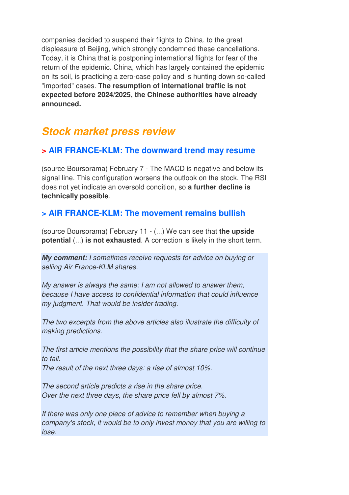companies decided to suspend their flights to China, to the great displeasure of Beijing, which strongly condemned these cancellations. Today, it is China that is postponing international flights for fear of the return of the epidemic. China, which has largely contained the epidemic on its soil, is practicing a zero-case policy and is hunting down so-called "imported" cases. **The resumption of international traffic is not expected before 2024/2025, the Chinese authorities have already announced.**

## **Stock market press review**

#### **> AIR FRANCE-KLM: The downward trend may resume**

(source Boursorama) February 7 - The MACD is negative and below its signal line. This configuration worsens the outlook on the stock. The RSI does not yet indicate an oversold condition, so **a further decline is technically possible**.

#### **> AIR FRANCE-KLM: The movement remains bullish**

(source Boursorama) February 11 - (...) We can see that **the upside potential** (...) **is not exhausted**. A correction is likely in the short term.

**My comment:** I sometimes receive requests for advice on buying or selling Air France-KLM shares.

My answer is always the same: I am not allowed to answer them, because I have access to confidential information that could influence my judgment. That would be insider trading.

The two excerpts from the above articles also illustrate the difficulty of making predictions.

The first article mentions the possibility that the share price will continue to fall

The result of the next three days: a rise of almost 10%.

The second article predicts a rise in the share price. Over the next three days, the share price fell by almost 7%.

If there was only one piece of advice to remember when buying a company's stock, it would be to only invest money that you are willing to lose.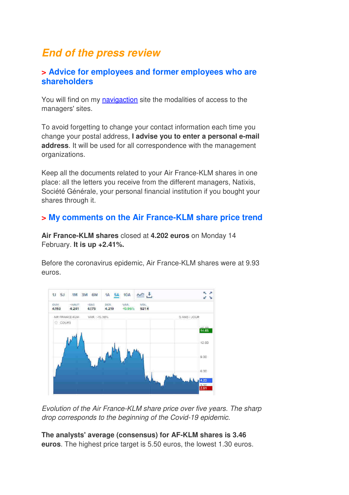## **End of the press review**

#### **> Advice for employees and former employees who are shareholders**

You will find on my navigaction site the modalities of access to the managers' sites.

To avoid forgetting to change your contact information each time you change your postal address, **I advise you to enter a personal e-mail address**. It will be used for all correspondence with the management organizations.

Keep all the documents related to your Air France-KLM shares in one place: all the letters you receive from the different managers, Natixis, Société Générale, your personal financial institution if you bought your shares through it.

#### **> My comments on the Air France-KLM share price trend**

**Air France-KLM shares** closed at **4.202 euros** on Monday 14 February. **It is up +2.41%.** 

Before the coronavirus epidemic, Air France-KLM shares were at 9.93 euros.



Evolution of the Air France-KLM share price over five years. The sharp drop corresponds to the beginning of the Covid-19 epidemic.

**The analysts' average (consensus) for AF-KLM shares is 3.46 euros**. The highest price target is 5.50 euros, the lowest 1.30 euros.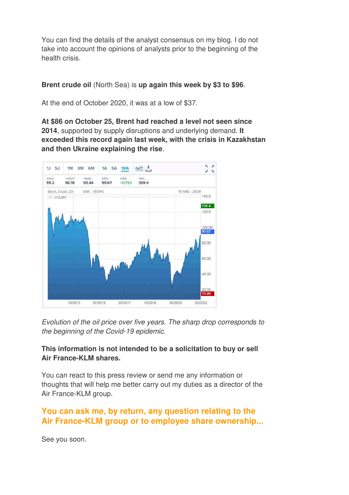You can find the details of the analyst consensus on my blog. I do not take into account the opinions of analysts prior to the beginning of the health crisis.

**Brent crude oil** (North Sea) is **up again this week by \$3 to \$96**.

At the end of October 2020, it was at a low of \$37.

**At \$86 on October 25, Brent had reached a level not seen since 2014**, supported by supply disruptions and underlying demand. **It exceeded this record again last week, with the crisis in Kazakhstan and then Ukraine explaining the rise**.



Evolution of the oil price over five years. The sharp drop corresponds to the beginning of the Covid-19 epidemic.

#### **This information is not intended to be a solicitation to buy or sell Air France-KLM shares.**

You can react to this press review or send me any information or thoughts that will help me better carry out my duties as a director of the Air France-KLM group.

### **You can ask me, by return, any question relating to the Air France-KLM group or to employee share ownership...**

See you soon.